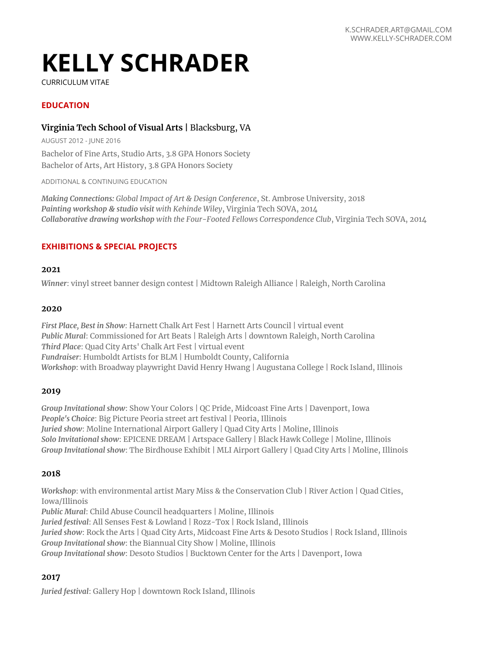# **KELLY SCHRADER**

CURRICULUM VITAE

# **EDUCATION**

## **Virginia Tech School of Visual Arts |** Blacksburg, VA

AUGUST 2012 - JUNE 2016 Bachelor of Fine Arts, Studio Arts, 3.8 GPA Honors Society Bachelor of Arts, Art History, 3.8 GPA Honors Society

ADDITIONAL & CONTINUING EDUCATION

*Making Connections: Global Impact of Art & Design Conference*, St. Ambrose University, 2018 *Painting workshop & studio visit with Kehinde Wiley*, Virginia Tech SOVA, 2014 *Collaborative drawing workshop with the Four-Footed Fellows Correspondence Club*, Virginia Tech SOVA, 2014

## **EXHIBITIONS & SPECIAL PROJECTS**

#### **2021**

*Winner*: vinyl street banner design contest | Midtown Raleigh Alliance | Raleigh, North Carolina

#### **2020**

*First Place, Best in Show*: Harnett Chalk Art Fest | Harnett Arts Council | virtual event *Public Mural*: Commissioned for Art Beats | Raleigh Arts | downtown Raleigh, North Carolina *Third Place*: Quad City Arts' Chalk Art Fest | virtual event *Fundraiser*: Humboldt Artists for BLM | Humboldt County, California *Workshop*: with Broadway playwright David Henry Hwang | Augustana College | Rock Island, Illinois

#### **2019**

*Group Invitational show*: Show Your Colors | QC Pride, Midcoast Fine Arts | Davenport, Iowa *People's Choice*: Big Picture Peoria street art festival | Peoria, Illinois *Juried show*: Moline International Airport Gallery | Quad City Arts | Moline, Illinois *Solo Invitational show*: EPICENE DREAM | Artspace Gallery | Black Hawk College | Moline, Illinois *Group Invitational show*: The Birdhouse Exhibit | MLI Airport Gallery | Quad City Arts | Moline, Illinois

#### **2018**

*Workshop*: with environmental artist Mary Miss & the Conservation Club | River Action | Quad Cities, Iowa/Illinois *Public Mural*: Child Abuse Council headquarters | Moline, Illinois *Juried festival*: All Senses Fest & Lowland | Rozz-Tox | Rock Island, Illinois *Juried show*: Rock the Arts | Quad City Arts, Midcoast Fine Arts & Desoto Studios | Rock Island, Illinois

*Group Invitational show*: the Biannual City Show | Moline, Illinois *Group Invitational show*: Desoto Studios | Bucktown Center for the Arts | Davenport, Iowa

#### **2017**

*Juried festival*: Gallery Hop | downtown Rock Island, Illinois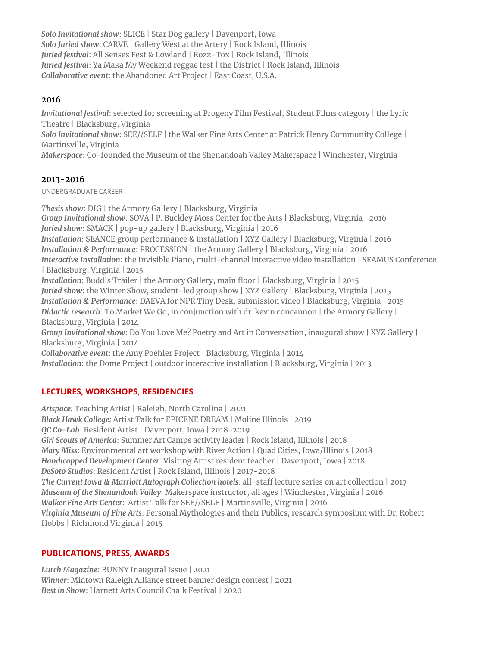*Solo Invitational show*: SLICE | Star Dog gallery | Davenport, Iowa *Solo Juried show*: CARVE | Gallery West at the Artery | Rock Island, Illinois *Juried festival*: All Senses Fest & Lowland | Rozz-Tox | Rock Island, Illinois *Juried festival*: Ya Maka My Weekend reggae fest | the District | Rock Island, Illinois *Collaborative event*: the Abandoned Art Project | East Coast, U.S.A.

## **2016**

*Invitational festival*: selected for screening at Progeny Film Festival, Student Films category | the Lyric Theatre | Blacksburg, Virginia

*Solo Invitational show*: SEE//SELF | the Walker Fine Arts Center at Patrick Henry Community College | Martinsville, Virginia

*Makerspace*: Co-founded the Museum of the Shenandoah Valley Makerspace | Winchester, Virginia

# **2013-2016**

UNDERGRADUATE CAREER

*Thesis show*: DIG | the Armory Gallery | Blacksburg, Virginia *Group Invitational show*: SOVA | P. Buckley Moss Center for the Arts | Blacksburg, Virginia | 2016 *Juried show*: SMACK | pop-up gallery | Blacksburg, Virginia | 2016 *Installation*: SEANCE group performance & installation | XYZ Gallery | Blacksburg, Virginia | 2016 *Installation & Performance*: PROCESSION | the Armory Gallery | Blacksburg, Virginia | 2016 *Interactive Installation*: the Invisible Piano, multi-channel interactive video installation | SEAMUS Conference | Blacksburg, Virginia | 2015 *Installation*: Budd's Trailer | the Armory Gallery, main floor | Blacksburg, Virginia | 2015 *Juried show*: the Winter Show, student-led group show | XYZ Gallery | Blacksburg, Virginia | 2015 *Installation & Performance*: DAEVA for NPR Tiny Desk, submission video | Blacksburg, Virginia | 2015 *Didactic research*: To Market We Go, in conjunction with dr. kevin concannon | the Armory Gallery | Blacksburg, Virginia | 2014 *Group Invitational show*: Do You Love Me? Poetry and Art in Conversation, inaugural show | XYZ Gallery | Blacksburg, Virginia | 2014 *Collaborative event*: the Amy Poehler Project | Blacksburg, Virginia | 2014 *Installation*: the Dome Project | outdoor interactive installation | Blacksburg, Virginia | 2013

# **LECTURES, WORKSHOPS, RESIDENCIES**

*Artspace:* Teaching Artist | Raleigh, North Carolina | 2021 *Black Hawk College:* Artist Talk for EPICENE DREAM | Moline Illinois | 2019 *QC Co-Lab*: Resident Artist | Davenport, Iowa | 2018-2019 *Girl Scouts of America*: Summer Art Camps activity leader | Rock Island, Illinois | 2018 *Mary Miss*: Environmental art workshop with River Action | Quad Cities, Iowa/Illinois | 2018 *Handicapped Development Center*: Visiting Artist resident teacher | Davenport, Iowa | 2018 *DeSoto Studios*: Resident Artist | Rock Island, Illinois | 2017-2018 *The Current Iowa & Marriott Autograph Collection hotels*: all-staff lecture series on art collection | 2017 *Museum of the Shenandoah Valley*: Makerspace instructor, all ages | Winchester, Virginia | 2016 *Walker Fine Arts Center*: Artist Talk for SEE//SELF | Martinsville, Virginia | 2016 *Virginia Museum of Fine Arts*: Personal Mythologies and their Publics, research symposium with Dr. Robert Hobbs | Richmond Virginia | 2015

## **PUBLICATIONS, PRESS, AWARDS**

*Lurch Magazine*: BUNNY Inaugural Issue | 2021 *Winner*: Midtown Raleigh Alliance street banner design contest | 2021 *Best in Show*: Harnett Arts Council Chalk Festival | 2020